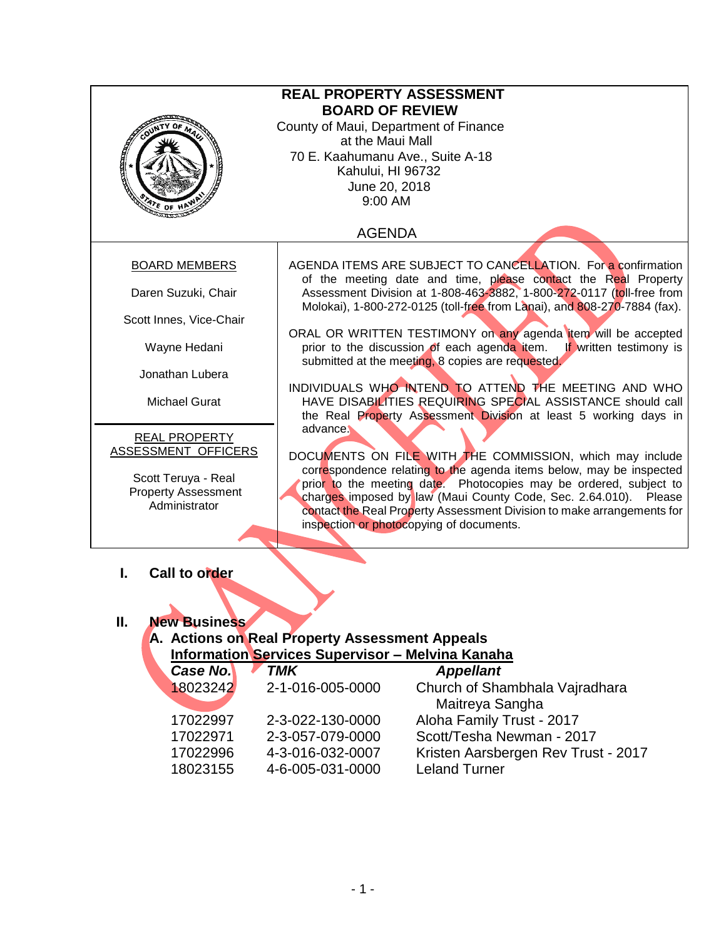|                                                                        | <b>REAL PROPERTY ASSESSMENT</b>                                                                                                                                                                                     |  |  |
|------------------------------------------------------------------------|---------------------------------------------------------------------------------------------------------------------------------------------------------------------------------------------------------------------|--|--|
|                                                                        | <b>BOARD OF REVIEW</b>                                                                                                                                                                                              |  |  |
|                                                                        | County of Maui, Department of Finance                                                                                                                                                                               |  |  |
|                                                                        | at the Maui Mall                                                                                                                                                                                                    |  |  |
|                                                                        | 70 E. Kaahumanu Ave., Suite A-18                                                                                                                                                                                    |  |  |
| <b>READER</b>                                                          | Kahului, HI 96732                                                                                                                                                                                                   |  |  |
|                                                                        | June 20, 2018                                                                                                                                                                                                       |  |  |
|                                                                        | 9:00 AM                                                                                                                                                                                                             |  |  |
| $v_{\epsilon}$ of<br><u>tammac</u>                                     |                                                                                                                                                                                                                     |  |  |
|                                                                        | <b>AGENDA</b>                                                                                                                                                                                                       |  |  |
| <b>BOARD MEMBERS</b>                                                   | AGENDA ITEMS ARE SUBJECT TO CANCELLATION. For a confirmation                                                                                                                                                        |  |  |
| Daren Suzuki, Chair                                                    | of the meeting date and time, please contact the Real Property<br>Assessment Division at 1-808-463-3882, 1-800-272-0117 (toll-free from<br>Molokai), 1-800-272-0125 (toll-free from Lanai), and 808-270-7884 (fax). |  |  |
| Scott Innes, Vice-Chair                                                |                                                                                                                                                                                                                     |  |  |
|                                                                        | ORAL OR WRITTEN TESTIMONY on any agenda item will be accepted                                                                                                                                                       |  |  |
| Wayne Hedani                                                           | prior to the discussion of each agenda item.<br>If written testimony is                                                                                                                                             |  |  |
|                                                                        | submitted at the meeting, 8 copies are requested.                                                                                                                                                                   |  |  |
| Jonathan Lubera                                                        |                                                                                                                                                                                                                     |  |  |
| <b>Michael Gurat</b>                                                   | INDIVIDUALS WHO INTEND TO ATTEND THE MEETING AND WHO<br>HAVE DISABILITIES REQUIRING SPECIAL ASSISTANCE should call<br>the Real Property Assessment Division at least 5 working days in                              |  |  |
|                                                                        | advance.                                                                                                                                                                                                            |  |  |
| <b>REAL PROPERTY</b>                                                   |                                                                                                                                                                                                                     |  |  |
| ASSESSMENT OFFICERS                                                    | DOCUMENTS ON FILE WITH THE COMMISSION, which may include                                                                                                                                                            |  |  |
| Scott Teruya - Real                                                    | correspondence relating to the agenda items below, may be inspected                                                                                                                                                 |  |  |
| <b>Property Assessment</b>                                             | prior to the meeting date. Photocopies may be ordered, subject to                                                                                                                                                   |  |  |
| Administrator                                                          | charges imposed by law (Maui County Code, Sec. 2.64.010). Please                                                                                                                                                    |  |  |
| contact the Real Property Assessment Division to make arrangements for |                                                                                                                                                                                                                     |  |  |
| inspection or photocopying of documents.                               |                                                                                                                                                                                                                     |  |  |
|                                                                        |                                                                                                                                                                                                                     |  |  |
| Call to order<br>L.                                                    |                                                                                                                                                                                                                     |  |  |
|                                                                        |                                                                                                                                                                                                                     |  |  |
|                                                                        |                                                                                                                                                                                                                     |  |  |
|                                                                        |                                                                                                                                                                                                                     |  |  |
| Ш.<br><b>New Business</b>                                              |                                                                                                                                                                                                                     |  |  |
| A. Actions on Real Property Assessment Appeals                         |                                                                                                                                                                                                                     |  |  |
| <b>Information Services Supervisor - Melvina Kanaha</b>                |                                                                                                                                                                                                                     |  |  |

| <u> Information Services Supervisor – Melvina Kanana</u> |                  |                                     |
|----------------------------------------------------------|------------------|-------------------------------------|
| <b>Case No.</b>                                          | TMK              | <b>Appellant</b>                    |
| 18023242                                                 | 2-1-016-005-0000 | Church of Shambhala Vajradhara      |
|                                                          |                  | Maitreya Sangha                     |
| 17022997                                                 | 2-3-022-130-0000 | Aloha Family Trust - 2017           |
| 17022971                                                 | 2-3-057-079-0000 | Scott/Tesha Newman - 2017           |
| 17022996                                                 | 4-3-016-032-0007 | Kristen Aarsbergen Rev Trust - 2017 |
| 18023155                                                 | 4-6-005-031-0000 | <b>Leland Turner</b>                |
|                                                          |                  |                                     |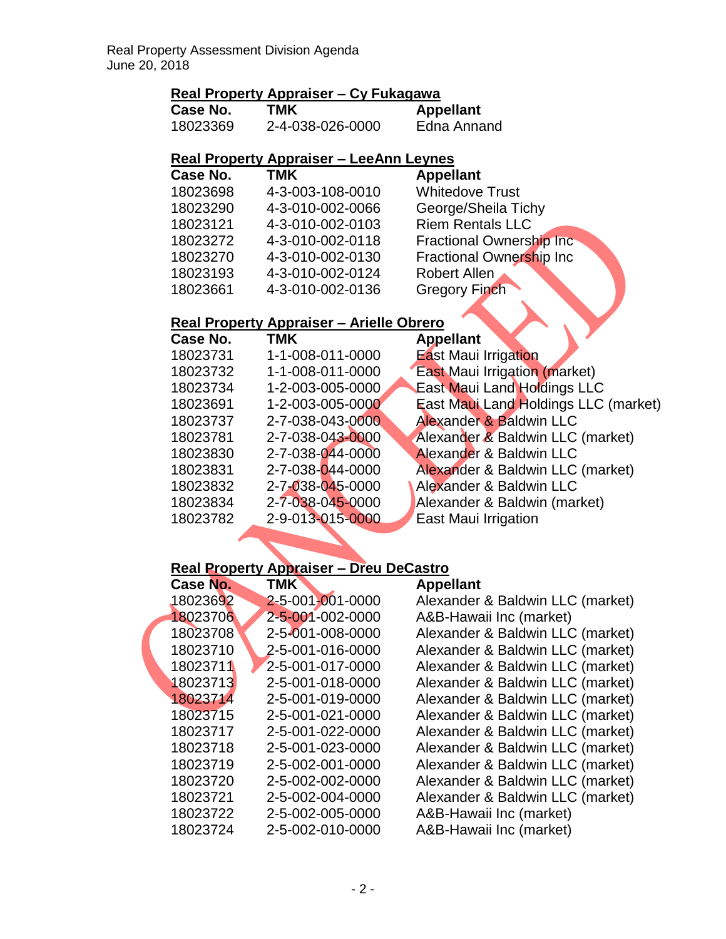## **Real Property Appraiser – Cy Fukagawa**

| <b>Case No.</b> | TMK              | <b>Appellant</b> |  |
|-----------------|------------------|------------------|--|
| 18023369        | 2-4-038-026-0000 | Edna Annand      |  |

## **Real Property Appraiser – LeeAnn Leynes**

| Case No. | <b>TMK</b>       | <b>Appellant</b>                 |
|----------|------------------|----------------------------------|
| 18023698 | 4-3-003-108-0010 | <b>Whitedove Trust</b>           |
| 18023290 | 4-3-010-002-0066 | George/Sheila Tichy              |
| 18023121 | 4-3-010-002-0103 | <b>Riem Rentals LLC</b>          |
| 18023272 | 4-3-010-002-0118 | <b>Fractional Ownership Inc.</b> |
| 18023270 | 4-3-010-002-0130 | Fractional Ownership Inc         |
| 18023193 | 4-3-010-002-0124 | <b>Robert Allen</b>              |
| 18023661 | 4-3-010-002-0136 | <b>Gregory Finch</b>             |
|          |                  |                                  |

# **Real Property Appraiser – Arielle Obrero**

| <b>Case No.</b> | TMK              | <b>Appellant</b>                     |
|-----------------|------------------|--------------------------------------|
| 18023731        | 1-1-008-011-0000 | <b>East Maui Irrigation</b>          |
| 18023732        | 1-1-008-011-0000 | <b>East Maui Irrigation (market)</b> |
| 18023734        | 1-2-003-005-0000 | <b>East Maui Land Holdings LLC</b>   |
| 18023691        | 1-2-003-005-0000 | East Maui Land Holdings LLC (market) |
| 18023737        | 2-7-038-043-0000 | Alexander & Baldwin LLC              |
| 18023781        | 2-7-038-043-0000 | Alexander & Baldwin LLC (market)     |
| 18023830        | 2-7-038-044-0000 | <b>Alexander &amp; Baldwin LLC</b>   |
| 18023831        | 2-7-038-044-0000 | Alexander & Baldwin LLC (market)     |
| 18023832        | 2-7-038-045-0000 | Alexander & Baldwin LLC              |
| 18023834        | 2-7-038-045-0000 | Alexander & Baldwin (market)         |
| 18023782        | 2-9-013-015-0000 | East Maui Irrigation                 |
|                 |                  |                                      |

### **Real Property Appraiser – Dreu DeCastro**

| Case No. | <b>TMK</b>       | <b>Appellant</b>                 |
|----------|------------------|----------------------------------|
| 18023692 | 2-5-001-001-0000 | Alexander & Baldwin LLC (market) |
| 18023706 | 2-5-001-002-0000 | A&B-Hawaii Inc (market)          |
| 18023708 | 2-5-001-008-0000 | Alexander & Baldwin LLC (market) |
| 18023710 | 2-5-001-016-0000 | Alexander & Baldwin LLC (market) |
| 18023711 | 2-5-001-017-0000 | Alexander & Baldwin LLC (market) |
| 18023713 | 2-5-001-018-0000 | Alexander & Baldwin LLC (market) |
| 18023714 | 2-5-001-019-0000 | Alexander & Baldwin LLC (market) |
| 18023715 | 2-5-001-021-0000 | Alexander & Baldwin LLC (market) |
| 18023717 | 2-5-001-022-0000 | Alexander & Baldwin LLC (market) |
| 18023718 | 2-5-001-023-0000 | Alexander & Baldwin LLC (market) |
| 18023719 | 2-5-002-001-0000 | Alexander & Baldwin LLC (market) |
| 18023720 | 2-5-002-002-0000 | Alexander & Baldwin LLC (market) |
| 18023721 | 2-5-002-004-0000 | Alexander & Baldwin LLC (market) |
| 18023722 | 2-5-002-005-0000 | A&B-Hawaii Inc (market)          |
| 18023724 | 2-5-002-010-0000 | A&B-Hawaii Inc (market)          |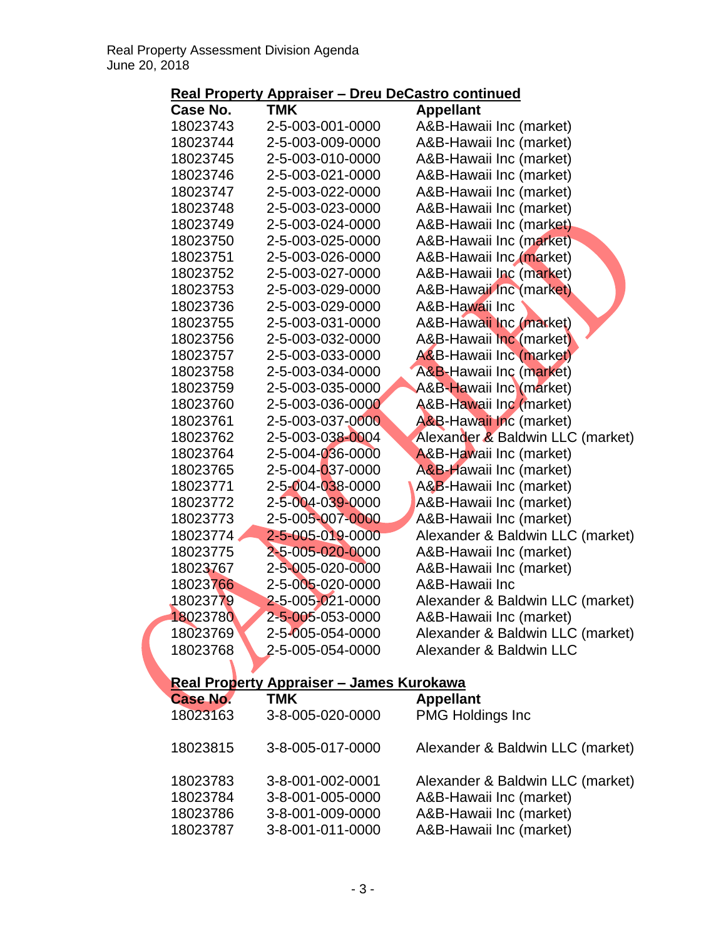| Case No.        | <b>TMK</b>                                      | <b>Appellant</b>                   |
|-----------------|-------------------------------------------------|------------------------------------|
| 18023743        | 2-5-003-001-0000                                | A&B-Hawaii Inc (market)            |
| 18023744        | 2-5-003-009-0000                                | A&B-Hawaii Inc (market)            |
| 18023745        | 2-5-003-010-0000                                | A&B-Hawaii Inc (market)            |
| 18023746        | 2-5-003-021-0000                                | A&B-Hawaii Inc (market)            |
| 18023747        | 2-5-003-022-0000                                | A&B-Hawaii Inc (market)            |
| 18023748        | 2-5-003-023-0000                                | A&B-Hawaii Inc (market)            |
| 18023749        | 2-5-003-024-0000                                | A&B-Hawaii Inc (market)            |
| 18023750        | 2-5-003-025-0000                                | A&B-Hawaii Inc (market)            |
| 18023751        | 2-5-003-026-0000                                | A&B-Hawaii Inc (market)            |
| 18023752        | 2-5-003-027-0000                                | A&B-Hawaii Inc (market)            |
| 18023753        | 2-5-003-029-0000                                | A&B-Hawaii Inc (market)            |
| 18023736        | 2-5-003-029-0000                                | A&B-Hawaii Inc                     |
| 18023755        | 2-5-003-031-0000                                | A&B-Hawaii Inc (market)            |
| 18023756        | 2-5-003-032-0000                                | A&B-Hawaii Inc (market)            |
| 18023757        | 2-5-003-033-0000                                | <b>A&amp;B-Hawaii Inc (market)</b> |
| 18023758        | 2-5-003-034-0000                                | A&B-Hawaii Inc (market)            |
| 18023759        | 2-5-003-035-0000                                | A&B-Hawaii Inc (market)            |
| 18023760        | 2-5-003-036-0000                                | A&B-Hawaii Inc (market)            |
| 18023761        | 2-5-003-037-0000                                | <b>A&amp;B-Hawaii Inc (market)</b> |
| 18023762        | 2-5-003-038-0004                                | Alexander & Baldwin LLC (market)   |
| 18023764        | 2-5-004-036-0000                                | A&B-Hawaii Inc (market)            |
| 18023765        | 2-5-004-037-0000                                | A&B-Hawaii Inc (market)            |
| 18023771        | 2-5-004-038-0000                                | A&B-Hawaii Inc (market)            |
| 18023772        | 2-5-004-039-0000                                | A&B-Hawaii Inc (market)            |
| 18023773        | 2-5-005-007-0000                                | A&B-Hawaii Inc (market)            |
| 18023774        | 2-5-005-019-0000                                | Alexander & Baldwin LLC (market)   |
| 18023775        | 2-5-005-020-0000                                | A&B-Hawaii Inc (market)            |
| 18023767        | 2-5-005-020-0000                                | A&B-Hawaii Inc (market)            |
| 18023766        | 2-5-005-020-0000                                | A&B-Hawaii Inc                     |
| 18023779        | 2-5-005-021-0000                                | Alexander & Baldwin LLC (market)   |
| 18023780        | 2-5-005-053-0000                                | A&B-Hawaii Inc (market)            |
| 18023769        | 2-5-005-054-0000                                | Alexander & Baldwin LLC (market)   |
| 18023768        | 2-5-005-054-0000                                | Alexander & Baldwin LLC            |
|                 |                                                 |                                    |
|                 | <b>Real Property Appraiser - James Kurokawa</b> |                                    |
| <b>Case No.</b> | <b>TMK</b>                                      | <b>Appellant</b>                   |
| 18023163        | 3-8-005-020-0000                                | <b>PMG Holdings Inc</b>            |
| 18023815        | 3-8-005-017-0000                                | Alexander & Baldwin LLC (market)   |
|                 |                                                 |                                    |
| 18023783        | 3-8-001-002-0001                                | Alexander & Baldwin LLC (market)   |
| 18023784        | 3-8-001-005-0000                                | A&B-Hawaii Inc (market)            |
| 18023786        | 3-8-001-009-0000                                | A&B-Hawaii Inc (market)            |
| 18023787        | 3-8-001-011-0000                                | A&B-Hawaii Inc (market)            |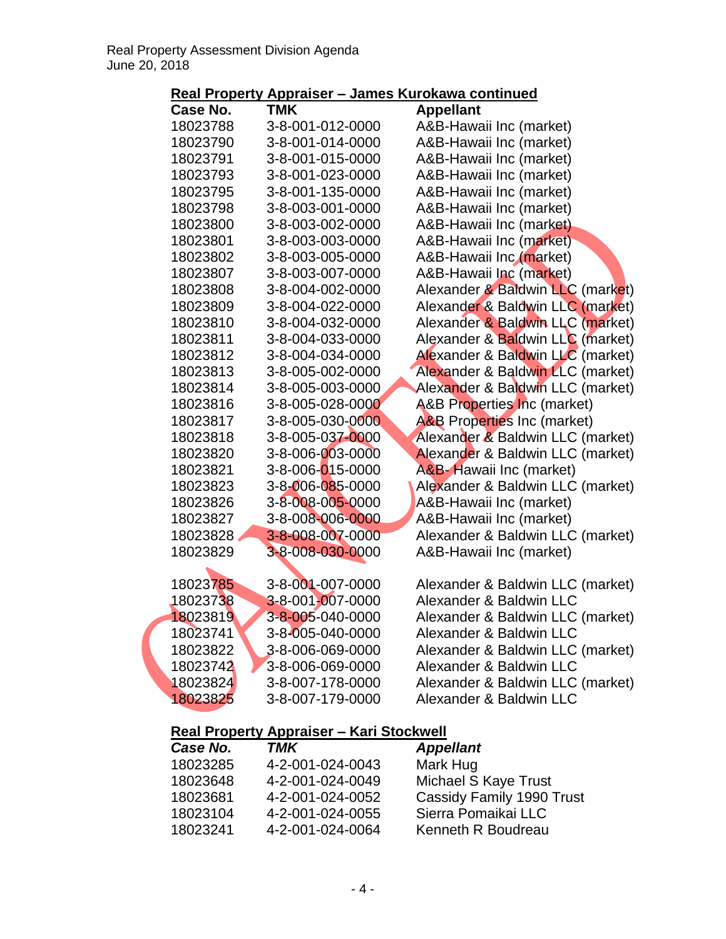| <u>nuan rupung Appraisur</u> |                                                 | <u>vanivə isai unawa uvminiyya</u>     |
|------------------------------|-------------------------------------------------|----------------------------------------|
| Case No.                     | <b>TMK</b>                                      | <b>Appellant</b>                       |
| 18023788                     | 3-8-001-012-0000                                | A&B-Hawaii Inc (market)                |
| 18023790                     | 3-8-001-014-0000                                | A&B-Hawaii Inc (market)                |
| 18023791                     | 3-8-001-015-0000                                | A&B-Hawaii Inc (market)                |
| 18023793                     | 3-8-001-023-0000                                | A&B-Hawaii Inc (market)                |
| 18023795                     | 3-8-001-135-0000                                | A&B-Hawaii Inc (market)                |
| 18023798                     | 3-8-003-001-0000                                | A&B-Hawaii Inc (market)                |
| 18023800                     | 3-8-003-002-0000                                | A&B-Hawaii Inc (market)                |
| 18023801                     | 3-8-003-003-0000                                | A&B-Hawaii Inc (market)                |
| 18023802                     | 3-8-003-005-0000                                | A&B-Hawaii Inc (market)                |
| 18023807                     | 3-8-003-007-0000                                | A&B-Hawaii Inc (market)                |
| 18023808                     | 3-8-004-002-0000                                | Alexander & Baldwin LLC (market)       |
| 18023809                     | 3-8-004-022-0000                                | Alexander & Baldwin LLC (market)       |
| 18023810                     | 3-8-004-032-0000                                | Alexander & Baldwin LLC (market)       |
| 18023811                     | 3-8-004-033-0000                                | Alexander & Baldwin LLC (market)       |
| 18023812                     | 3-8-004-034-0000                                | Alexander & Baldwin LLC (market)       |
| 18023813                     | 3-8-005-002-0000                                | Alexander & Baldwin LLC (market)       |
| 18023814                     | 3-8-005-003-0000                                | Alexander & Baldwin LLC (market)       |
| 18023816                     | 3-8-005-028-0000                                | <b>A&amp;B Properties Inc (market)</b> |
| 18023817                     | 3-8-005-030-0000                                | <b>A&amp;B Properties Inc (market)</b> |
| 18023818                     | 3-8-005-037-0000                                | Alexander & Baldwin LLC (market)       |
| 18023820                     | 3-8-006-003-0000                                | Alexander & Baldwin LLC (market)       |
| 18023821                     | 3-8-006-015-0000                                | A&B-Hawaii Inc (market)                |
| 18023823                     | 3-8-006-085-0000                                | Alexander & Baldwin LLC (market)       |
| 18023826                     | 3-8-008-005-0000                                | A&B-Hawaii Inc (market)                |
| 18023827                     | 3-8-008-006-0000                                | A&B-Hawaii Inc (market)                |
| 18023828                     | 3-8-008-007-0000                                | Alexander & Baldwin LLC (market)       |
| 18023829                     | 3-8-008-030-0000                                | A&B-Hawaii Inc (market)                |
|                              |                                                 |                                        |
| 18023785                     | 3-8-001-007-0000                                | Alexander & Baldwin LLC (market)       |
| 18023738                     | 3-8-001-007-0000                                | Alexander & Baldwin LLC                |
| 18023819                     | 3-8-005-040-0000                                | Alexander & Baldwin LLC (market)       |
| 18023741                     | 3-8-005-040-0000                                | Alexander & Baldwin LLC                |
| 18023822                     | 3-8-006-069-0000                                | Alexander & Baldwin LLC (market)       |
| 18023742                     | 3-8-006-069-0000                                | Alexander & Baldwin LLC                |
| 18023824                     | 3-8-007-178-0000                                | Alexander & Baldwin LLC (market)       |
| 18023825                     | 3-8-007-179-0000                                | Alexander & Baldwin LLC                |
|                              | <b>Real Property Appraiser - Kari Stockwell</b> |                                        |
| Case No.                     | <b>TMK</b>                                      | <b>Appellant</b>                       |
| 18023285                     | 4-2-001-024-0043                                | Mark Hug                               |
| 18023648                     | 4-2-001-024-0049                                | Michael S Kaye Trust                   |

4-2-001-024-0052 Cassidy Family 1990 Trust

4-2-001-024-0055 Sierra Pomaikai LLC

4-2-001-024-0064 Kenneth R Boudreau